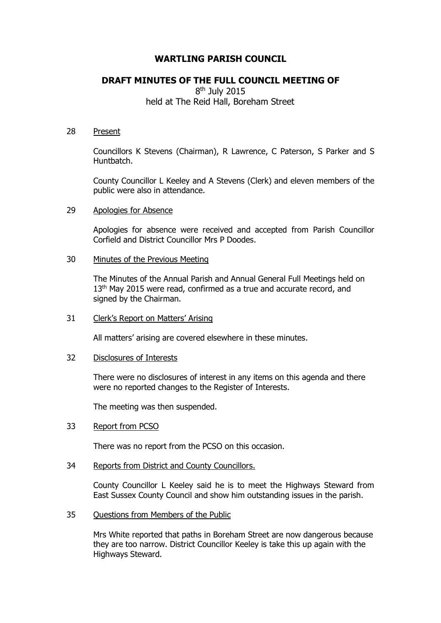# **WARTLING PARISH COUNCIL**

# **DRAFT MINUTES OF THE FULL COUNCIL MEETING OF**

8<sup>th</sup> July 2015 held at The Reid Hall, Boreham Street

#### 28 Present

Councillors K Stevens (Chairman), R Lawrence, C Paterson, S Parker and S Huntbatch.

County Councillor L Keeley and A Stevens (Clerk) and eleven members of the public were also in attendance.

# 29 Apologies for Absence

Apologies for absence were received and accepted from Parish Councillor Corfield and District Councillor Mrs P Doodes.

# 30 Minutes of the Previous Meeting

The Minutes of the Annual Parish and Annual General Full Meetings held on 13<sup>th</sup> May 2015 were read, confirmed as a true and accurate record, and signed by the Chairman.

# 31 Clerk's Report on Matters' Arising

All matters' arising are covered elsewhere in these minutes.

#### 32 Disclosures of Interests

There were no disclosures of interest in any items on this agenda and there were no reported changes to the Register of Interests.

The meeting was then suspended.

# 33 Report from PCSO

There was no report from the PCSO on this occasion.

34 Reports from District and County Councillors.

County Councillor L Keeley said he is to meet the Highways Steward from East Sussex County Council and show him outstanding issues in the parish.

35 Questions from Members of the Public

Mrs White reported that paths in Boreham Street are now dangerous because they are too narrow. District Councillor Keeley is take this up again with the Highways Steward.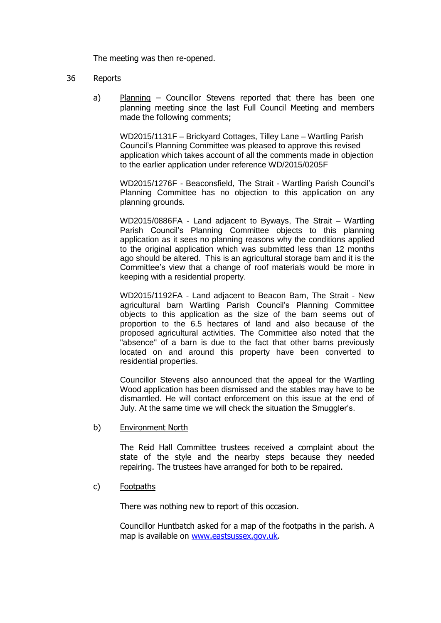The meeting was then re-opened.

# 36 Reports

a) Planning – Councillor Stevens reported that there has been one planning meeting since the last Full Council Meeting and members made the following comments;

WD2015/1131F – Brickyard Cottages, Tilley Lane – Wartling Parish Council's Planning Committee was pleased to approve this revised application which takes account of all the comments made in objection to the earlier application under reference WD/2015/0205F

WD2015/1276F - Beaconsfield, The Strait - Wartling Parish Council's Planning Committee has no objection to this application on any planning grounds.

WD2015/0886FA - Land adjacent to Byways, The Strait – Wartling Parish Council's Planning Committee objects to this planning application as it sees no planning reasons why the conditions applied to the original application which was submitted less than 12 months ago should be altered. This is an agricultural storage barn and it is the Committee's view that a change of roof materials would be more in keeping with a residential property.

WD2015/1192FA - Land adjacent to Beacon Barn, The Strait - New agricultural barn Wartling Parish Council's Planning Committee objects to this application as the size of the barn seems out of proportion to the 6.5 hectares of land and also because of the proposed agricultural activities. The Committee also noted that the "absence" of a barn is due to the fact that other barns previously located on and around this property have been converted to residential properties.

Councillor Stevens also announced that the appeal for the Wartling Wood application has been dismissed and the stables may have to be dismantled. He will contact enforcement on this issue at the end of July. At the same time we will check the situation the Smuggler's.

b) Environment North

The Reid Hall Committee trustees received a complaint about the state of the style and the nearby steps because they needed repairing. The trustees have arranged for both to be repaired.

c) Footpaths

There was nothing new to report of this occasion.

Councillor Huntbatch asked for a map of the footpaths in the parish. A map is available on [www.eastsussex.gov.uk.](http://www.eastsussex.gov.uk/)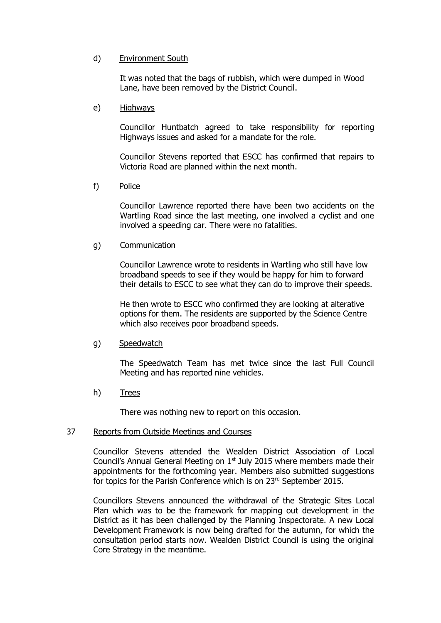# d) Environment South

It was noted that the bags of rubbish, which were dumped in Wood Lane, have been removed by the District Council.

#### e) Highways

Councillor Huntbatch agreed to take responsibility for reporting Highways issues and asked for a mandate for the role.

Councillor Stevens reported that ESCC has confirmed that repairs to Victoria Road are planned within the next month.

f) Police

Councillor Lawrence reported there have been two accidents on the Wartling Road since the last meeting, one involved a cyclist and one involved a speeding car. There were no fatalities.

# g) Communication

Councillor Lawrence wrote to residents in Wartling who still have low broadband speeds to see if they would be happy for him to forward their details to ESCC to see what they can do to improve their speeds.

He then wrote to ESCC who confirmed they are looking at alterative options for them. The residents are supported by the Science Centre which also receives poor broadband speeds.

# g) Speedwatch

The Speedwatch Team has met twice since the last Full Council Meeting and has reported nine vehicles.

h) Trees

There was nothing new to report on this occasion.

#### 37 Reports from Outside Meetings and Courses

Councillor Stevens attended the Wealden District Association of Local Council's Annual General Meeting on 1<sup>st</sup> July 2015 where members made their appointments for the forthcoming year. Members also submitted suggestions for topics for the Parish Conference which is on 23rd September 2015.

Councillors Stevens announced the withdrawal of the Strategic Sites Local Plan which was to be the framework for mapping out development in the District as it has been challenged by the Planning Inspectorate. A new Local Development Framework is now being drafted for the autumn, for which the consultation period starts now. Wealden District Council is using the original Core Strategy in the meantime.